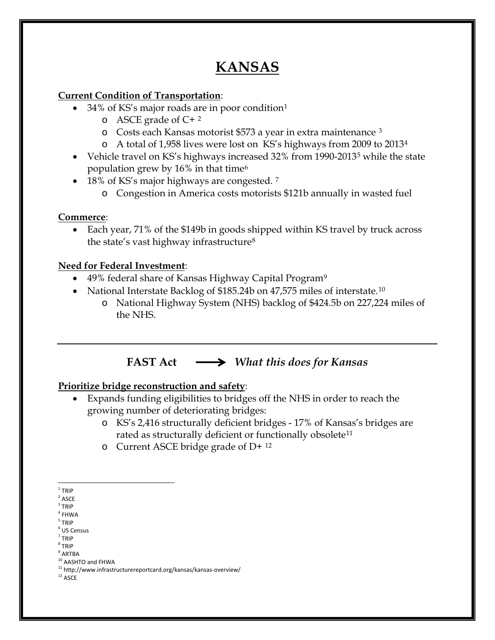# **KANSAS**

### **Current Condition of Transportation**:

- 34% of KS's major roads are in poor condition[1](#page-0-0)
	- $\circ$  ASCE grade of C+[2](#page-0-1)
	- o Costs each Kansas motorist \$573 a year in extra maintenance [3](#page-0-2)
	- o A total of 1,958 lives were lost on KS's highways from 2009 to 201[34](#page-0-3)
- Vehicle travel on KS's highways increased 32% from 1990-2013<sup>[5](#page-0-4)</sup> while the state population grew by 16% in that time[6](#page-0-5)
- 18% of KS's major highways are congested. <sup>[7](#page-0-6)</sup>
	- o Congestion in America costs motorists \$121b annually in wasted fuel

### **Commerce**:

• Each year, 71% of the \$149b in goods shipped within KS travel by truck across the state's vast highway infrastructure[8](#page-0-7)

### **Need for Federal Investment**:

- 4[9](#page-0-8)% federal share of Kansas Highway Capital Program<sup>9</sup>
- National Interstate Backlog of \$185.24b on 47,575 miles of interstate.<sup>[10](#page-0-9)</sup>
	- o National Highway System (NHS) backlog of \$424.5b on 227,224 miles of the NHS.

## **FAST Act** *What this does for Kansas*

### **Prioritize bridge reconstruction and safety**:

- Expands funding eligibilities to bridges off the NHS in order to reach the growing number of deteriorating bridges:
	- o KS's 2,416 structurally deficient bridges 17% of Kansas's bridges are rated as structurally deficient or functionally obsolete<sup>[11](#page-0-10)</sup>
	- o Current ASCE bridge grade of D+ [12](#page-0-11)

<span id="page-0-0"></span> $1$  TRIP

<span id="page-0-1"></span> $2$  ASCE

<span id="page-0-2"></span> $3$  TRIP

<span id="page-0-3"></span> $4$  FHWA

<span id="page-0-4"></span><sup>5</sup> TRIP

<span id="page-0-5"></span> $<sup>6</sup>$  US Census</sup>  $<sup>7</sup>$  TRIP</sup>

<span id="page-0-7"></span><span id="page-0-6"></span><sup>8</sup> TRIP

<span id="page-0-8"></span> $^{9}$  ARTBA<br> $^{10}$  AASHTO and FHWA

<span id="page-0-10"></span><span id="page-0-9"></span> $11$  http://www.infrastructurereportcard.org/kansas/kansas-overview/

<span id="page-0-11"></span> $^{\rm 12}$  ASCE